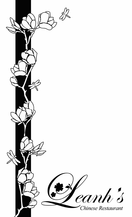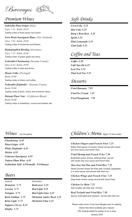Beverages

## *Premium Wines*

*Gabriella Pinot Grigio (Italy) Glass 7.45 / Bottle 26.00* Tasting notes of fresh peach and melon

*Fern Hook Sauvignon Blanc (New Zealand) Glass 7.95 / Bottle 29.00* Tasting notes of nectarines and flowers

*Hummingbird Riesling (Germany) Glass 7.45 / Bottle 26.00* Tasting notes of green apple and citrus

*Federalist Chardonnay (Sonoma County) Glass 8.45 / Bottle 30.00*

Tasting notes of pear and lemon

*Monte Velho (Portugal) Bottle 29.00* Tasting notes of cherry and coffee

*Federalist Zinfandel - (Sonoma County) Bottle 29.00* Tasting notes of plum, cherry and cinnamon spice

*Meiomi Pinot Noir - (California Blend) Bottle 39.00*

Tasting notes of strawberry, mocha and toasted oak

# *Soft Drinks*

*Coca-Cola 3.25 Diet Coke 3.25 Barq's Root Beer 3.25 Sprite 3.25 Pink Lemonade 3.25 Club Soda 3.25*

## *Coffee and Teas*

*Coffee 2.50 Café Sua Da 6.25 Iced Tea 3.25 Thai Iced Tea 5.25*

## *Desserts*

*Fried Bananas 7.95 Fried Ice Cream 7.45 Fried Doughnuts 7.95*

## *Wines (by the glass)*

*Chardonnay 6.95 Pinot Grigio 6.95 White Zinfandel 6.45 Merlot 6.95 Cabernet Sauvignon 6.95 Takara Plum Wine 6.95 Gekkeikan Saki 6.95(small) / 9.95(large)*

## *Beers*

*(Import) Heineken 5.75 Corona 5.75 Tsingtao 5.75 Kirin Ichiban 5.75 Kirin Light 5.75 Sapporo (16 oz) 8.25 Singha 5.75*

*(Domestic) Budweiser 5.25 Bud Light 5.25 Bud Light Lime 5.25 Michelob Amber Bock 5.25 Michelob Ultra 5.25*

## *Children's Menu (Ages 12 and under)*

*Chicken Fingers and French Fries 7.25*

Batter-fried pieces of chicken breast served with sweet and sour sauce and french fries

*Fried Shrimp and French Fries 7.50* Butterflied jumbo shrimp, battered-fried, served with sweet and sour sauce and french fries

*Moo Goo Gai Pan and Fried Rice 7.25* Sliced chicken breast stir-fried with Chinese vegetables in a white sauce and served with fried rice

*Chicken Wings and French Fries 7.25* Deep fried chicken wings served with french fries

*Chicken Lo Mein 7.25* Soft noodles stir-fried with chicken

*Beef Teriyaki and Fried Rice 7.50* Savory marinated beef skewers served with fried rice

*Please notify server of any food allergies prior to ordering. Gluten free items available upon request. 18% Gratuity added for parties of six or more January 2022*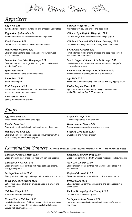Chinese Cuisine



# *Appetizers*

*Egg Rolls 4.45* Two hand-made rolls filled with pork and shredded vegetables

*Vegetarian Springrolls 4.45* Two hand-made rolls filled with shredded vegetables

*Fried Wontons 6.45* Deep fried and served with sweet and sour sauce

*House Fried Wontons 9.95* Chicken filled wontons deep fried and served with sweet and sour sauce

*Steamed or Pan Fried Dumplings 8.95* Crescent shaped dumplings filled with ground chicken and vegetables (6 pcs)

*Spare Ribs 10.95* Wok-seared with Nancy's barbecue sauce

*Roast Pork 10.95* Sliced roasted pork

*Krab Rangoons 8.95* Hand-made cream cheese and krab meat filled wontons served with sweet and sour sauce

*Beef Teriyaki 10.95* Savory marinated beef skewers *Chicken Wings (8) 11.95* Marinated with soy and ginger and deep fried

*Chinese Style Buffalo Wings (8) 12.95* Chicken wings wok-braised in sweet and spicy glaze

*Chicken Wings with Black Bean Sauce (8) 13.95* Crispy chicken wings braised in savory black bean sauce

## *Fried Jumbo Shrimp 8.45*

Five butterflied jumbo shrimp breaded and deep fried served with sweet and sour sauce

*Salt & Pepper Calamari 14.95 / Shrimp 17.95* Lightly batter-fried calamari or shrimp, tossed with the perfect combination of spices

*Lettuce Wrap Shrimp 15.95 / Chicken 13.95* Minced chicken or shrimp, served in a lettuce cup

*Age Tofu 10.95* Silken tofu cubed and lightly fried, served with soy dipping sauce

*Pu-Pu Tray for Two 18.95* Egg rolls, spare ribs, beef teriyaki, wings, fried wontons, jumbo fried shrimp. Add 8.50 per person

# *Soups*

*Egg Drop Soup 4.95* Fresh chicken broth and flowered eggs

*Wonton Soup 5.45* Pork wontons, shredded pork, and scallions in chicken broth

*Hot and Sour Soup 5.95* Chicken, bean curd, bamboo shoots and mushrooms with a dash of vinegar and hot white pepper

*Vegetable Soup 10.45* Chinese vegetables in savory broth

*House Special Soup 13.45* Deluxe wonton soup with vegetables and meat

*Chicken Corn Soup 12.95* Sweet corn and minced chicken

# *Combination Dinners All dinners are served with one egg roll, roast pork fried rice, and your choice of soup*

*Chicken or Pork Lo Mein 15.95* Sliced chicken breast or pork stir-fried with soft egg noodles

*Chicken Chow Mein 14.95* Sliced chicken breast stir-fried with napa cabbage, onions, celery, and sprouts

*Shrimp Chow Mein 15.95* Shrimp stir-fried with napa cabbage, onions, celery, and sprouts

*Sweet and Sour Chicken 15.95* Batter-fried pieces of chicken breast covered in a sweet and sour sauce

*Chicken Wings 15.95* Marinated and deep-fried wings

## *General Tao's Chicken 15.95*

Lightly battered pieces of chicken breast quick-fried and tossed in a light sweet sauce. Served mild, specify level of spice. Served with steamed broccoli

*Subgum Roast Pork Ding 15.95* Diced roast pork stir-fried with Chinese vegetables in brown sauce

*Moo Goo Gai Pan 15.95* Sliced chicken breast stir-fried with Chinese vegetables in a white sauce

*Beef and Broccoli 15.95* Sliced tender beef stir-fried with broccoli in a brown sauce

*Pepper Steak 15.95* Sliced tender beef stir-fried with onions and bell peppers in a brown sauce

*Pork or Shrimp Egg Foo Young 15.95* Chinese style omelet with gravy

*Shrimp in Lobster Sauce 15.95* Large shrimp sautéed with ground pork in our chef's special egg sauce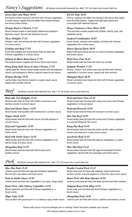# *Nancy's Suggestions All dinners served with steamed rice. Add 1.75 for brown rice or pork fried rice.*

*Pei Pa Tofu 18.95*

vegetable stir-fry

and brown sauce

surrounded with steamed broccoli

*Seafood Combination 18.95*

vegetables with a white sauce

*House Special Duck 20.95*

*Beef Chow Fun 16.45*

*Subgum Wonton 17.45*

*Shanghai Duck 20.95*

in a brown sauce

*House Cantonese Chow Mein 19.95*

## *Seven Stars and Moon 30.95*

Shrimp and sliced roast pork stir-fried with Chinese vegetables in brown sauce, topped with two batter-fried chicken breasts and seven jumbo shrimp

### *Orange Beef or Chicken 17.45*

Sliced chicken breast or beef lightly battered and glazed in Mandarin sauce. Served with steamed broccoli

*Three Delights 17.45* Chicken, beef, and shrimp stir-fried with Chinese vegetables in a brown sauce

## *Scallops and Beef 17.95*

Fresh sea scallops and sliced tender beef stir-fried with Chinese vegetables in a brown sauce

## *Salmon & Black Bean Sauce 17.95*

Pan-seared salmon topped with savory black bean sauce

### *Hong Kong Style Sweet & Sour Chicken 17.45*

Lightly battered, sliced chicken breast tossed with bell peppers, onions, and pineapple in Nancy's special sweet & sour sauce

### *Walnut Shrimp 19.95*

Lightly batter-fried shrimp tossed in a sweet cream sauce, topped with candied walnuts

# *Beef All dinners served with steamed rice. Add 1.75 for brown rice or pork fried rice.*

## *Beef with Two Delights 15.45*

Sliced tender beef stir-fried with shitake mushrooms and bamboo shoots in a brown sauce

*Beef and Oyster Sauce 14.95* Sliced tender beef sautéed with mushrooms in a brown sauce

*Pepper Steak 14.95* Sliced tender beef stir-fried with onions and bell peppers in a brown sauce

*Beef and Vegetables 14.95* Sliced tender beef stir-fried with Chinese vegetables in a brown sauce

## *Beef with Garlic Sauce 14.95* Sliced tender beef stir-fried with Chinese vegetables in our

special tangy and spicy sauce *Mongolian Beef 14.95*

Sliced tender beef stir-fried with sliced onions and bamboo shoots

*Beef and Snow Peas 15.45*

Sliced tender beef stir-fried with crispy snow peas and Chinese vegetables in a brown sauce

Shrimp, scallops and silken tofu blended with spices then lightly fried into fluffy pillows. Topped with light garlic glaze and

Thin pan-fried noodles topped with chicken, shrimp, pork, and

Fresh shrimp, calamari and scallops, stir-fried with Chinese

Batter-fried duck breast served on a bed of Chinese vegetables

Shrimp, chicken, and sliced roast pork stir-fried with Chinese vegetables in a brown sauce, topped with fried wontons

Sliced marinated duck breast stir-fried with Chinese vegetables

Sliced tender beef stir-fried with thick rice noodles

*Beef and Broccoli 14.95* Sliced tender beef stir-fried with broccoli in a brown sauce

## *Sha Cha Beef 14.95*

Sliced tender beef stir-fried with onions and Chinese vegetables in a special Malaysian fish sauce

#### *Kung Pao Beef 14.95* Sliced tender beef stir-fried with diced carrots, celery, bamboo shoots, and peanuts in a spicy brown sauce

#### *Szechwan Beef 14.95*

Sliced tender beef stir-fried with julienne vegetables in a spicy brown sauce

## *Moo Shu Beef 15.45*

Sliced tender beef stir-fried with egg and shredded Chinese vegetables. Served with four pancakes and hoisin sauce

*Pork All dinners served with steamed rice. Add 1.75 for brown rice or pork fried rice.*

#### *Moo Shu Pork 15.45* Julienne pork stir-fried with egg and shredded vegetables. Served with 4 pancakes and hoisin sauce

*Pork in Garlic Sauce 14.95* Julienne pork stir-fried with vegetables in our spicy, tangy sauce

*Roast Pork with Chinese Vegetables 14.95* Sliced roast pork stir-fried with Chinese vegetables in a brown sauce

*Mapo Tofu 14.95* Tofu sautéed with ground pork in our delicious spicy brown sauce

## *Double Cooked Pork 15.45*

Sliced roast pork stir-fried with cabbage, black mushrooms, bamboo shoots, and bell peppers in a flavorful, spicy brown sauce

*Roast Pork with Bean Sprouts 14.95* Julienne roast pork stir-fried with bean sprouts and fresh scallions

#### *Subgum Roast Pork Ding 14.95* Diced roast pork stir-fried with diced Chinese vegetables in a brown sauce

## *Mongolian Pork 14.95*

Julienne pork stir-fried with onions, scallions and bamboo shoots

*Please notify server of any food allergies prior to ordering. Gluten free items available upon request.* 

*18% Gratuity added for parties of six or more*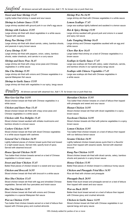# *Seafood All dinners served with steamed rice. Add 1.75 for brown rice or pork fried rice.*

*Sweet and Sour Shrimp 15.45* Lightly batter-fried shrimp in sweet and sour sauce

*Shrimp in Lobster Sauce 15.95* Large shrimp sautéed with ground pork in our chef's egg sauce

*Shrimp with Cashews 15.95* Large shrimp stir-fried with diced vegetables in a white sauce. Topped with cashews

## *Kung Pao Shrimp 15.95*

Large shrimp stir-fried with diced carrots, celery, bamboo shoots, and peanuts in spicy brown sauce

## *Curry Shrimp 15.95*

Large shrimp stir-fried with peppers, onion, celery, bamboo shoots, water chestnuts, and carrots in a curry sauce

## *Shrimp and Snow Peas 16.45*

Large shrimp stir-fried with crispy snow peas and Chinese vegetables in a white sauce

*Sha Cha Shrimp 15.95* Large shrimp stir-fried with onions and Chinese vegetables in a special Malaysian fish sauce

## *Shrimp in Garlic Sauce 15.95*

Large shrimp stir-fried with vegetables in our spicy, tangy sauce

 $\mathcal{P} \text{ou}$ *try* All dinners served with steamed rice. Add 1.75 for brown rice or pork fried rice.

## *Moo Goo Gai Pan 14.95*

Sliced chicken breast stir-fried with Chinese vegetables in a white sauce

## *Chicken and Snow Peas 15.45*

Sliced chicken breast stir-fried with crispy snow peas and Chinese vegetables in a white sauce

## *Chicken with Two Delights 15.45*

Sliced chicken breast sautéed with shitake mushrooms and bamboo shoots in a brown sauce

## *Cashew Chicken 14.95*

Sliced chicken breast stir-fried with diced Chinese vegetables in a white sauce topped with cashews

## *General Tao's Chicken 16.95*

Lightly battered pieces of chicken breast quick-fried and tossed in a light sweet sauce. Served mild, specify level of spice. Served with steamed broccoli

## *House Special Chicken 16.95*

Two batter-fried chicken breasts served on a bed of Chinese vegetables in a brown sauce

*Sweet and Sour Chicken 15.45* Batter-fried pieces of chicken breast in a sweet and sour sauce

*Chicken and Broccoli 14.95* Sliced chicken breast stir-fried with broccoli in a white sauce

## *Moo Shu Chicken 15.45*

Sliced chicken breast stir-fried with egg and shredded Chinese vegetables. Served with four pancakes and hoisin sauce

## *Sha Cha Chicken 14.95*

Sliced chicken breast stir-fried with onions and Chinese vegetables in a special Malaysian fish sauce

## *War-su Chicken 15.95*

Two batter-fried chicken breasts served on a bed of lettuce then topped with Chinese gravy and crushed almonds

*Shrimp Wor Pa 16.95*

Large shrimp stir-fried with Chinese vegetables in a white sauce

*Lemon Scallops 17.45* Large sea scallops lightly battered and sautéed in a lemon sauce

*Hot & Spicy Shrimp 15.95* Large shrimp sautéed with ground pork and onions in a sweet and spicy red sauce

## *Lake Tungting Shrimp 16.45*

Large shrimp and Chinese vegetables sautéed with an egg and white sauce

## *Chow Har Kew 16.45*

Large batter-fried shrimp on a bed of Chinese vegetables in a brown sauce

## *Scallops in Garlic Sauce 17.45*

Large sea scallops stir-fried with celery, water chestnuts, carrots, and bamboo shoots in our special spicy tangy sauce

## *Scallops with Chinese Vegetables 17.45*

Large sea scallops stir-fried with Chinese vegetables in a white sauce

## *Hawaiian Chicken 15.95*

Two batter-fried chicken breasts on a bed of lettuce then topped with pineapple and sweet and sour sauce

### *Hunan Chicken 14.95*

Sliced chicken breast stir-fried with diced vegetables in a spicy brown sauce

## *Szechwan Chicken 14.95*

Sliced chicken breasts stir-fried with julienne vegetables in a spicy brown sauce

## *Lemon Chicken 15.95*

Two batter-fried chicken breasts on a bed of lettuce then topped with our delicious lemon sauce

## *Sesame Chicken 16.95*

Lightly battered chicken breast pieces quick-fried in a flavorful sauce then topped with sesame seeds. Served with steamed broccoli

## *Kung Pao Chicken 14.95*

Sliced chicken breast stir-fried with diced carrots, celery, bamboo shoots and peanuts in a spicy brown sauce

## *Honey Chicken 15.95*

Batter-fried pieces of chicken breast in a delicious honey sauce

#### *Chicken and Pineapple Fried Rice 14.95* Rice stir-fried with chicken and pineapple

## *Pineapple Duck 20.95*

Batter-fried duck breast and pineapple served on a bed of lettuce then topped with sweet and sour sauce

## *War-su Duck 20.95*

Batter-fried duck breast served on a bed of lettuce then topped with Chinese gravy and crushed almonds

## *Chicken in Garlic Sauce 14.95*

Sliced chicken breast stir-fried with Chinese vegetables in our special tangy and spicy sauce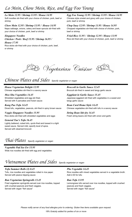## *Lo Mein 12.95 / Shrimp 13.95 / House 14.95*

Soft noodles stir-fried with your choice of chicken, pork, beef or shrimp

#### *Chow Mein 12.95 / Shrimp 13.95 / House 14.95*

Napa cabbage, onions, celery and bean sprouts stir-fried with your choice of chicken, pork, beef or shrimp

*Singapore Noodles Chicken / Pork / Beef 15.95 / Shrimp 16.95 /*

*House 17.95* Rice sticks stir-fried with your choice of chicken, pork, beef, or shrimp

*Egg Foo Young 12.95 / Shrimp 13.95 / House 14.95* Chinese style omelet and gravy with your choice of chicken, pork, beef or shrimp

*Chop Suey 12.95 / Shrimp 13.95 / House 14.95* Chopped vegetables stir-fried with choice of chicken, pork, beef or shrimp

*Fried Rice 11.95 / Shrimp 12.95 / House 13.95* Rice stir-fried with your choice of chicken, pork, beef or shrimp



# *Chinese Plates and Sides Specify vegetarian or vegan*

*House Vegetarian Delight 12.95* Chinese vegetables stir-fried in a savory sauce

*Moo Shu Vegetables 14.45* Shredded vegetables and egg stir-fried. Served with 4 pancakes and hoisin sauce

*Kung Pao Tofu 14.45* Diced tofu, vegetables, peanuts, stir-fried in spicy brown sauce

*Veggie Singapore Noodles 15.95* Rice sticks stir-fried with shredded vegetables and eggs

*General Tao's Tofu 16.45* Lightly battered, cubed tofu, quick-fried and tossed in a light sweet sauce. Served mild, specify level of spice. Served with steamed broccoli

*Broccoli in Garlic Sauce 12.45* Broccoli stir-fried in sweet and tangy garlic sauce

*Eggplant in Garlic Sauce 15.45* Japanese eggplant stir-fried with vegetables in a sweet and tangy garlic sauce

*Bean Curd Home Style 14.45* Chinese vegetables stir-fried with tofu in a savory sauce

*String Bean Stir-fry 14.45* Fresh string beans stir-fried with onion and garlic

# *Thai Plates Specify vegetarian or vegan*

*Vegetable Pad See Ew 15.95* Wide rice noodles stir-fried with egg and vegetables

# *Vietnamese Plates and Sides Specify vegetarian or vegan*

*Tofu Summer Rolls (2) 8.45* Tofu, rice noodles and vegetables rolled in rice paper. Served with peanut dipping sauce

## *Bun Vegetarian Springrolls 13.45*

Fried vegetarian springrolls served over rice noodles, topped with crushed peanuts and fresh veggies. Served with vegan "fish sauce"

### *Pho Vegetable 14.45*

Rice noodles with mixed vegetables served in a vegetable broth. Add 2.00 for tofu

#### *Bun Tofu 13.95*

Lemongrass tofu served over rice noodles, topped with crushed peanuts and fresh veggies. Served with vegan "fish sauce"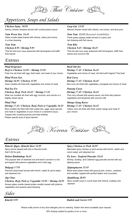Thai Cuisine

# *Appetizers, Soups and Salads*

## *Chicken Satay 10.95*

Savory chicken skewers served with curried peanut sauce

*Yum Woon Sen 14.45* Glass noodle salad tossed with shrimp, celery and onions in a lime dressing

### *Tom Yum*

### *Chicken 8.95 / Shrimp 9.95*

Thai hot and sour soup seasoned with lemongrass and kaffir lime leaves

## *Entrees*

### *Phad Krapraow*

*Beef or Chicken 14.95 / Shrimp 15.95* Fried rice stir-fried with egg, fresh basil, and meat of your choice

*Phad Woon Sen Shrimp 16.95 / Chicken 15.95* Clear noodles stir-fried with vegetables and choice of meat

#### *Pad See Ew*

## *Chicken, Beef, Pork 16.45 / Shrimp 17.45*

Wide rice noodles stir-fried with egg, broccoli, and carrots in a slightly sweet sauce

## *Phad Thai*

## *Shrimp 17.45 / Chicken, Beef, Pork or Vegetable 16.45*

Rice noodles stir-fried with fried cubed tofu, eggs, bean sprouts and meat or vegetables of your choice in a tamarind sauce. Topped with crushed peanuts and fried shallots. Please specify level of spice desired

## *Larp Gai 13.95*

Minced chicken mixed with cilantro, red onions, and lime juice

*Som Tum 12.45 (Seasonal Availability)* Fresh green papaya salad served in a spicy and tart dressing with fish sauce

#### *Tom Kha*

*Chicken 9.45 / Shrimp 10.45* Thai hot and sour soup seasoned with lemongrass, kaffir lime

## *Basil Stir-fry*

*Shrimp 17.45 / Chicken 16.45* Vegetables and choice of meat, stir-fried with fragrant Thai basil

### *Red Curry Shrimp 17.45 / Chicken 16.45*

leaves and coconut milk

Red curry stir-fried with vegetables, pineapple and choice of meat

### *Panang Curry*

#### *Shrimp 17.45 / Chicken 16.45*

Thai curry infused with peanut sauce, stir-fried with julienne vegetables and tempered with coconut milk

#### *Mango Gang Karee*

#### *Shrimp 17.45 / Chicken 16.45*

Yellow curry stir-fried with fresh sweet mango and meat of your choice

Korean Cuisine

## *Entrees*

#### *Kimchi Jjigae -Kimchi Stew 14.95*

Spicy kimchi stewed with tofu in flavorful broth. Add 3.00 for pork

#### *Dolsot Bimbimbap 16.45*

This popular dish of steamed rice and beef is served in a hot pot topped with julienne vegetables and a fried egg

#### *Bulgogi 17.95*

Flavorful sliced beef served with kimchi, radish & carrot salad, and steamed rice

#### *Jap Chae*

*Chicken, Beef, Pork or Vegetable 15.95 / Shrimp 16.95* Korean glass noodle (sweet potato noodle) tossed with julienne vegetables and sesame seed dressing

*Sides*

## *Spicy Chicken or Pork 16.95*

Marinated spicy chicken or pork served with kimchi, radish and carrot salad, and steamed rice

#### *Pa Jeon - Seafood Pancake 19.45*

Shrimp, Scallop, and Calamari egg pancake served with soy dipping sauce

#### *Jjajangmyeon 15.45*

Black bean paste mixed with ground pork, onions , potatoes and noodles, topped with pickled daikon and cucumber

#### *Jjambbong 20.95*

Spicy noodle soup in a pork base with shrimp, scallops and calamari

## *Kimchi 5.95 Radish and Carrot 5.95*

*Please notify server of any food allergies prior to ordering. Gluten free items available upon request.* 

*18% Gratuity added for parties of six or more*